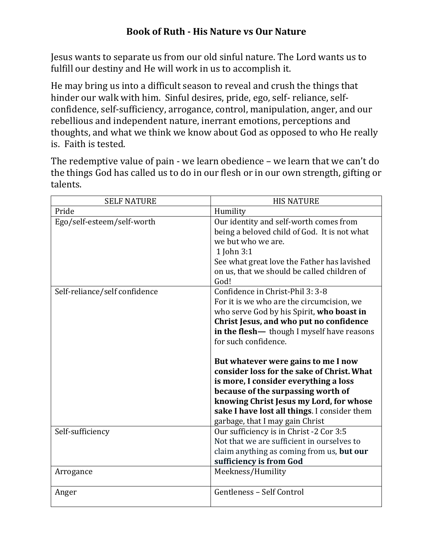## **Book of Ruth - His Nature vs Our Nature**

Jesus wants to separate us from our old sinful nature. The Lord wants us to fulfill our destiny and He will work in us to accomplish it.

He may bring us into a difficult season to reveal and crush the things that hinder our walk with him. Sinful desires, pride, ego, self- reliance, selfconfidence, self-sufficiency, arrogance, control, manipulation, anger, and our rebellious and independent nature, inerrant emotions, perceptions and thoughts, and what we think we know about God as opposed to who He really is. Faith is tested.

The redemptive value of pain - we learn obedience – we learn that we can't do the things God has called us to do in our flesh or in our own strength, gifting or talents.

| <b>SELF NATURE</b>            | <b>HIS NATURE</b>                                                                                                                                                                                                                                                                                                                                                                                                                                                                                                                             |
|-------------------------------|-----------------------------------------------------------------------------------------------------------------------------------------------------------------------------------------------------------------------------------------------------------------------------------------------------------------------------------------------------------------------------------------------------------------------------------------------------------------------------------------------------------------------------------------------|
| Pride                         | Humility                                                                                                                                                                                                                                                                                                                                                                                                                                                                                                                                      |
| Ego/self-esteem/self-worth    | Our identity and self-worth comes from<br>being a beloved child of God. It is not what<br>we but who we are.<br>1 John 3:1<br>See what great love the Father has lavished<br>on us, that we should be called children of<br>God!                                                                                                                                                                                                                                                                                                              |
| Self-reliance/self confidence | Confidence in Christ-Phil 3: 3-8<br>For it is we who are the circumcision, we<br>who serve God by his Spirit, who boast in<br>Christ Jesus, and who put no confidence<br>in the flesh- though I myself have reasons<br>for such confidence.<br>But whatever were gains to me I now<br>consider loss for the sake of Christ. What<br>is more, I consider everything a loss<br>because of the surpassing worth of<br>knowing Christ Jesus my Lord, for whose<br>sake I have lost all things. I consider them<br>garbage, that I may gain Christ |
| Self-sufficiency              | Our sufficiency is in Christ -2 Cor 3:5<br>Not that we are sufficient in ourselves to<br>claim anything as coming from us, but our<br>sufficiency is from God                                                                                                                                                                                                                                                                                                                                                                                 |
| Arrogance                     | Meekness/Humility                                                                                                                                                                                                                                                                                                                                                                                                                                                                                                                             |
| Anger                         | Gentleness - Self Control                                                                                                                                                                                                                                                                                                                                                                                                                                                                                                                     |